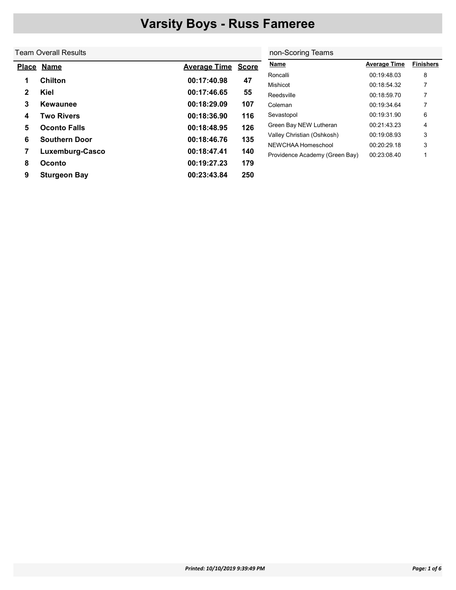### Team Overall Results

 $\overline{\phantom{a}}$ 

|              | Place Name           | <b>Average Time</b> | <b>Score</b> |
|--------------|----------------------|---------------------|--------------|
| 1            | <b>Chilton</b>       | 00:17:40.98         | 47           |
| $\mathbf{2}$ | Kiel                 | 00:17:46.65         | 55           |
| 3            | Kewaunee             | 00:18:29.09         | 107          |
| 4            | <b>Two Rivers</b>    | 00:18:36.90         | 116          |
| 5            | <b>Oconto Falls</b>  | 00:18:48.95         | 126          |
| 6            | <b>Southern Door</b> | 00:18:46.76         | 135          |
| 7            | Luxemburg-Casco      | 00:18:47.41         | 140          |
| 8            | Oconto               | 00:19:27.23         | 179          |
| 9            | <b>Sturgeon Bay</b>  | 00:23:43.84         | 250          |

|   | non-Scoring Teams              |                     |                  |  |  |  |  |  |
|---|--------------------------------|---------------------|------------------|--|--|--|--|--|
| э | Name                           | <b>Average Time</b> | <b>Finishers</b> |  |  |  |  |  |
|   | Roncalli                       | 00:19:48.03         | 8                |  |  |  |  |  |
|   | Mishicot                       | 00.18.54.32         | 7                |  |  |  |  |  |
|   | Reedsville                     | 00:18:59.70         | 7                |  |  |  |  |  |
|   | Coleman                        | 00:19:34.64         | 7                |  |  |  |  |  |
|   | Sevastopol                     | 00:19:31.90         | 6                |  |  |  |  |  |
|   | Green Bay NEW Lutheran         | 00:21:43:23         | 4                |  |  |  |  |  |
|   | Valley Christian (Oshkosh)     | 00:19:08:93         | 3                |  |  |  |  |  |
|   | NEWCHAA Homeschool             | 00:20:29 18         | 3                |  |  |  |  |  |
|   | Providence Academy (Green Bay) | 00:23:08.40         |                  |  |  |  |  |  |
|   |                                |                     |                  |  |  |  |  |  |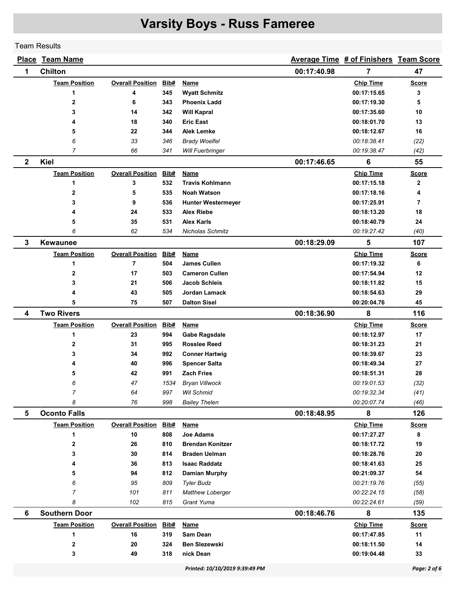#### Team Results

|                | <b>Place Team Name</b> |                         |             |                                |             | Average Time # of Finishers Team Score |              |
|----------------|------------------------|-------------------------|-------------|--------------------------------|-------------|----------------------------------------|--------------|
| 1              | <b>Chilton</b>         |                         |             |                                | 00:17:40.98 | 7                                      | 47           |
|                | <b>Team Position</b>   | <b>Overall Position</b> | Bib#        | <b>Name</b>                    |             | <b>Chip Time</b>                       | <b>Score</b> |
|                | 1                      | 4                       | 345         | <b>Wyatt Schmitz</b>           |             | 00:17:15.65                            | 3            |
|                | 2                      | 6                       | 343         | <b>Phoenix Ladd</b>            |             | 00:17:19.30                            | 5            |
|                | 3                      | 14                      | 342         | <b>Will Kapral</b>             |             | 00:17:35.60                            | 10           |
|                | 4                      | 18                      | 340         | <b>Eric East</b>               |             | 00:18:01.70                            | 13           |
|                | 5                      | 22                      | 344         | <b>Alek Lemke</b>              |             | 00:18:12.67                            | 16           |
|                | 6                      | 33                      | 346         | <b>Brady Woelfel</b>           |             | 00:18:38.41                            | (22)         |
|                | $\overline{7}$         | 66                      | 341         | <b>Will Fuerbringer</b>        |             | 00:19:38.47                            | (42)         |
| $\mathbf{2}$   | <b>Kiel</b>            |                         |             |                                | 00:17:46.65 | 6                                      | 55           |
|                | <b>Team Position</b>   | <b>Overall Position</b> | Bib#        | Name                           |             | <b>Chip Time</b>                       | <b>Score</b> |
|                | 1                      | 3                       | 532         | <b>Travis Kohlmann</b>         |             | 00:17:15.18                            | $\mathbf{2}$ |
|                | $\mathbf 2$            | 5                       | 535         | <b>Noah Watson</b>             |             | 00:17:18.16                            | 4            |
|                | 3                      | 9                       | 536         | <b>Hunter Westermeyer</b>      |             | 00:17:25.91                            | 7            |
|                | 4                      | 24                      | 533         | <b>Alex Riebe</b>              |             | 00:18:13.20                            | 18           |
|                | 5                      | 35                      | 531         | <b>Alex Karls</b>              |             | 00:18:40.79                            | 24           |
|                | 6                      | 62                      | 534         | Nicholas Schmitz               |             | 00:19:27.42                            | (40)         |
| 3              | <b>Kewaunee</b>        |                         |             |                                | 00:18:29.09 | 5                                      | 107          |
|                | <b>Team Position</b>   | <b>Overall Position</b> | Bib#        | Name                           |             | <b>Chip Time</b>                       | <b>Score</b> |
|                | 1                      | $\overline{7}$          | 504         | <b>James Cullen</b>            |             | 00:17:19.32                            | 6            |
|                | $\mathbf 2$            | 17                      | 503         | <b>Cameron Cullen</b>          |             | 00:17:54.94                            | 12           |
|                | 3                      | 21                      | 506         | <b>Jacob Schleis</b>           |             | 00:18:11.82                            | 15           |
|                | 4                      | 43                      | 505         | Jordan Lamack                  |             | 00:18:54.63                            | 29           |
|                | 5                      | 75                      | 507         | <b>Dalton Sisel</b>            |             | 00:20:04.76                            | 45           |
| 4              | <b>Two Rivers</b>      |                         |             |                                | 00:18:36.90 | 8                                      | 116          |
|                | <b>Team Position</b>   | <b>Overall Position</b> | Bib#        | <b>Name</b>                    |             | <b>Chip Time</b>                       | <b>Score</b> |
|                | 1                      | 23                      | 994         | <b>Gabe Ragsdale</b>           |             | 00:18:12.97                            | 17           |
|                | $\mathbf{2}$           | 31                      | 995         | <b>Rosslee Reed</b>            |             | 00:18:31.23                            | 21           |
|                | 3                      | 34                      | 992         | <b>Conner Hartwig</b>          |             | 00:18:39.67                            | 23           |
|                | 4                      | 40                      | 996         | <b>Spencer Salta</b>           |             | 00:18:49.34                            | 27           |
|                | 5                      | 42                      | 991         | <b>Zach Fries</b>              |             | 00:18:51.31                            | 28           |
|                | 6                      | 47                      | 1534        | <b>Bryan Villwock</b>          |             | 00:19:01.53                            | (32)         |
|                | $\overline{7}$         | 64                      | 997         | Wil Schmid                     |             | 00:19:32.34                            | (41)         |
|                | 8                      | 76                      | 998         | <b>Bailey Thelen</b>           |             | 00:20:07.74                            | (46)         |
| $5\phantom{1}$ | <b>Oconto Falls</b>    |                         |             |                                | 00:18:48.95 | 8                                      | 126          |
|                | <b>Team Position</b>   | <b>Overall Position</b> | <u>Bib#</u> | <b>Name</b>                    |             | <b>Chip Time</b>                       | <b>Score</b> |
|                | 1                      | 10                      | 808         | Joe Adams                      |             | 00:17:27.27                            | 8            |
|                | 2                      | 26                      | 810         | <b>Brendan Konitzer</b>        |             | 00:18:17.72                            | 19           |
|                | 3                      | 30                      | 814         | <b>Braden Uelman</b>           |             | 00:18:28.76                            | 20           |
|                | 4                      | 36                      | 813         | <b>Isaac Raddatz</b>           |             | 00:18:41.63                            | 25           |
|                | 5                      | 94                      | 812         | <b>Damian Murphy</b>           |             | 00:21:09.37                            | 54           |
|                | 6                      | 95                      | 809         | <b>Tyler Budz</b>              |             | 00:21:19.76                            | (55)         |
|                | 7                      | 101                     | 811         | <b>Matthew Loberger</b>        |             | 00:22:24.15                            | (58)         |
|                | 8                      | 102                     | 815         | Grant Yuma                     |             | 00:22:24.61                            | (59)         |
| 6              | <b>Southern Door</b>   |                         |             |                                | 00:18:46.76 | 8                                      | 135          |
|                | <b>Team Position</b>   | <b>Overall Position</b> | Bib#        | <b>Name</b>                    |             | <b>Chip Time</b>                       | <b>Score</b> |
|                | 1                      | 16                      | 319         | Sam Dean                       |             | 00:17:47.85                            | 11           |
|                | 2                      | 20                      | 324         | <b>Ben Slezewski</b>           |             | 00:18:11.50                            | 14           |
|                | 3                      | 49                      | 318         | nick Dean                      |             | 00:19:04.48                            | 33           |
|                |                        |                         |             | Printed: 10/10/2019 9:39:49 PM |             |                                        | Page: 2 of 6 |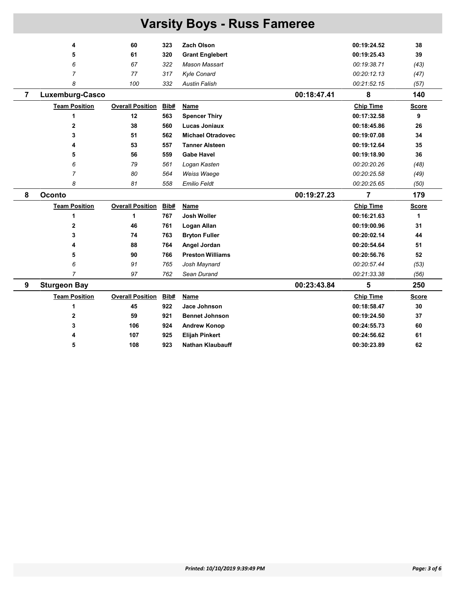| <b>Varsity Boys - Russ Fameree</b> |                      |                         |      |                          |             |                  |              |  |  |
|------------------------------------|----------------------|-------------------------|------|--------------------------|-------------|------------------|--------------|--|--|
|                                    | 4                    | 60                      | 323  | Zach Olson               |             | 00:19:24.52      | 38           |  |  |
|                                    | 5                    | 61                      | 320  | <b>Grant Englebert</b>   |             | 00:19:25.43      | 39           |  |  |
|                                    | 6                    | 67                      | 322  | <b>Mason Massart</b>     |             | 00:19:38.71      | (43)         |  |  |
|                                    | $\overline{7}$       | 77                      | 317  | <b>Kyle Conard</b>       |             | 00:20:12.13      | (47)         |  |  |
|                                    | 8                    | 100                     | 332  | <b>Austin Falish</b>     |             | 00:21:52.15      | (57)         |  |  |
| $\overline{7}$                     | Luxemburg-Casco      |                         |      |                          | 00:18:47.41 | 8                | 140          |  |  |
|                                    | <b>Team Position</b> | <b>Overall Position</b> | Bib# | Name                     |             | <b>Chip Time</b> | <b>Score</b> |  |  |
|                                    | 1                    | 12                      | 563  | <b>Spencer Thiry</b>     |             | 00:17:32.58      | 9            |  |  |
|                                    | $\mathbf{2}$         | 38                      | 560  | <b>Lucas Joniaux</b>     |             | 00:18:45.86      | 26           |  |  |
|                                    | 3                    | 51                      | 562  | <b>Michael Otradovec</b> |             | 00:19:07.08      | 34           |  |  |
|                                    | 4                    | 53                      | 557  | <b>Tanner Alsteen</b>    |             | 00:19:12.64      | 35           |  |  |
|                                    | 5                    | 56                      | 559  | <b>Gabe Havel</b>        |             | 00:19:18.90      | 36           |  |  |
|                                    | 6                    | 79                      | 561  | Logan Kasten             |             | 00:20:20.26      | (48)         |  |  |
|                                    | $\overline{7}$       | 80                      | 564  | Weiss Waege              |             | 00:20:25.58      | (49)         |  |  |
|                                    | 8                    | 81                      | 558  | <b>Emilio Feldt</b>      |             | 00:20:25.65      | (50)         |  |  |
| 8                                  | <b>Oconto</b>        |                         |      |                          | 00:19:27.23 | 7                | 179          |  |  |
|                                    | <b>Team Position</b> | <b>Overall Position</b> | Bib# | Name                     |             | <b>Chip Time</b> | <b>Score</b> |  |  |
|                                    | 1                    | 1                       | 767  | <b>Josh Woller</b>       |             | 00:16:21.63      | 1            |  |  |
|                                    | $\overline{2}$       | 46                      | 761  | Logan Allan              |             | 00:19:00.96      | 31           |  |  |
|                                    | 3                    | 74                      | 763  | <b>Bryton Fuller</b>     |             | 00:20:02.14      | 44           |  |  |
|                                    | 4                    | 88                      | 764  | Angel Jordan             |             | 00:20:54.64      | 51           |  |  |
|                                    | 5                    | 90                      | 766  | <b>Preston Williams</b>  |             | 00:20:56.76      | 52           |  |  |
|                                    | 6                    | 91                      | 765  | Josh Maynard             |             | 00:20:57.44      | (53)         |  |  |
|                                    | $\overline{7}$       | 97                      | 762  | Sean Durand              |             | 00:21:33.38      | (56)         |  |  |
| 9                                  | <b>Sturgeon Bay</b>  |                         |      |                          | 00:23:43.84 | 5                | 250          |  |  |
|                                    | <b>Team Position</b> | <b>Overall Position</b> | Bib# | Name                     |             | <b>Chip Time</b> | <b>Score</b> |  |  |
|                                    | 1                    | 45                      | 922  | Jace Johnson             |             | 00:18:58.47      | 30           |  |  |
|                                    | $\overline{2}$       | 59                      | 921  | <b>Bennet Johnson</b>    |             | 00:19:24.50      | 37           |  |  |
|                                    | 3                    | 106                     | 924  | <b>Andrew Konop</b>      |             | 00:24:55.73      | 60           |  |  |
|                                    | 4                    | 107                     | 925  | <b>Elijah Pinkert</b>    |             | 00:24:56.62      | 61           |  |  |
|                                    | 5                    | 108                     | 923  | <b>Nathan Klaubauff</b>  |             | 00:30:23.89      | 62           |  |  |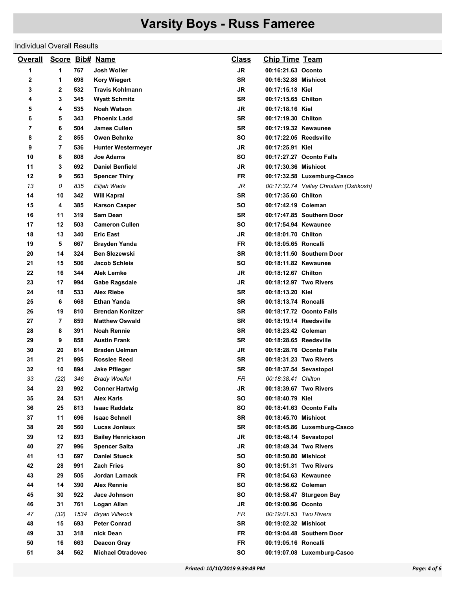#### Individual Overall Results

| <b>Overall</b> |                |      | Score Bib# Name           | <b>Class</b> | <b>Chip Time Team</b>  |                                        |
|----------------|----------------|------|---------------------------|--------------|------------------------|----------------------------------------|
| 1              | 1              | 767  | Josh Woller               | <b>JR</b>    | 00:16:21.63 Oconto     |                                        |
| 2              | 1              | 698  | <b>Kory Wiegert</b>       | <b>SR</b>    | 00:16:32.88 Mishicot   |                                        |
| 3              | 2              | 532  | <b>Travis Kohlmann</b>    | JR           | 00:17:15.18 Kiel       |                                        |
| 4              | 3              | 345  | <b>Wyatt Schmitz</b>      | SR           | 00:17:15.65 Chilton    |                                        |
| 5              | 4              | 535  | <b>Noah Watson</b>        | <b>JR</b>    | 00:17:18.16 Kiel       |                                        |
| 6              | 5              | 343  | <b>Phoenix Ladd</b>       | <b>SR</b>    | 00:17:19.30 Chilton    |                                        |
| 7              | 6              | 504  | James Cullen              | SR           | 00:17:19.32 Kewaunee   |                                        |
| 8              | 2              | 855  | <b>Owen Behnke</b>        | <b>SO</b>    | 00:17:22.05 Reedsville |                                        |
| 9              | 7              | 536  | <b>Hunter Westermeyer</b> | JR           | 00:17:25.91 Kiel       |                                        |
| 10             | 8              | 808  | <b>Joe Adams</b>          | SΟ           |                        | 00:17:27.27 Oconto Falls               |
| 11             | 3              | 692  | <b>Daniel Benfield</b>    | JR           | 00:17:30.36 Mishicot   |                                        |
| 12             | 9              | 563  | <b>Spencer Thiry</b>      | FR           |                        | 00:17:32.58 Luxemburg-Casco            |
| 13             | 0              | 835  | Elijah Wade               | JR           |                        | 00:17:32.74 Valley Christian (Oshkosh) |
| 14             | 10             | 342  | <b>Will Kapral</b>        | <b>SR</b>    | 00:17:35.60 Chilton    |                                        |
| 15             | 4              | 385  | <b>Karson Casper</b>      | SΟ           | 00:17:42.19 Coleman    |                                        |
| 16             | 11             | 319  | <b>Sam Dean</b>           | SR           |                        | 00:17:47.85 Southern Door              |
| 17             | 12             | 503  | <b>Cameron Cullen</b>     | <b>SO</b>    | 00:17:54.94 Kewaunee   |                                        |
| 18             | 13             | 340  | <b>Eric East</b>          | JR           | 00:18:01.70 Chilton    |                                        |
| 19             | 5              | 667  | Brayden Yanda             | FR           | 00:18:05.65 Roncalli   |                                        |
| 20             | 14             | 324  | <b>Ben Slezewski</b>      | <b>SR</b>    |                        | 00:18:11.50 Southern Door              |
| 21             | 15             | 506  | <b>Jacob Schleis</b>      | SΟ           | 00:18:11.82 Kewaunee   |                                        |
| 22             | 16             | 344  | Alek Lemke                | JR           | 00:18:12.67 Chilton    |                                        |
| 23             | 17             | 994  | <b>Gabe Ragsdale</b>      | JR           | 00:18:12.97 Two Rivers |                                        |
| 24             | 18             | 533  | <b>Alex Riebe</b>         | SR           | 00:18:13.20 Kiel       |                                        |
| 25             | 6              | 668  | <b>Ethan Yanda</b>        | SR           | 00:18:13.74 Roncalli   |                                        |
| 26             | 19             | 810  | <b>Brendan Konitzer</b>   | SR           |                        | 00:18:17.72 Oconto Falls               |
| 27             | $\overline{7}$ | 859  | <b>Matthew Oswald</b>     | <b>SR</b>    | 00:18:19.14 Reedsville |                                        |
| 28             | 8              | 391  | <b>Noah Rennie</b>        | SR           | 00:18:23.42 Coleman    |                                        |
| 29             | 9              | 858  | <b>Austin Frank</b>       | SR           | 00:18:28.65 Reedsville |                                        |
| 30             | 20             | 814  | <b>Braden Uelman</b>      | <b>JR</b>    |                        | 00:18:28.76 Oconto Falls               |
| 31             | 21             | 995  | <b>Rosslee Reed</b>       | SR           | 00:18:31.23 Two Rivers |                                        |
| 32             | 10             | 894  | Jake Pflieger             | SR           | 00:18:37.54 Sevastopol |                                        |
| 33             | (22)           | 346  | <b>Brady Woelfel</b>      | <b>FR</b>    | 00:18:38.41 Chilton    |                                        |
| 34             | 23             | 992  | <b>Conner Hartwig</b>     | JR           | 00:18:39.67 Two Rivers |                                        |
| 35             | 24             | 531  | Alex Karls                | SO           | 00:18:40.79 Kiel       |                                        |
| 36             | 25             | 813  | <b>Isaac Raddatz</b>      | SO           |                        | 00:18:41.63 Oconto Falls               |
| 37             | 11             | 696  | <b>Isaac Schnell</b>      | SR           | 00:18:45.70 Mishicot   |                                        |
| 38             | 26             | 560  | Lucas Joniaux             | SR           |                        | 00:18:45.86 Luxemburg-Casco            |
| 39             | 12             | 893  | <b>Bailey Henrickson</b>  | JR           | 00:18:48.14 Sevastopol |                                        |
| 40             | 27             | 996  | <b>Spencer Salta</b>      | <b>JR</b>    |                        | 00:18:49.34 Two Rivers                 |
| 41             | 13             | 697  | <b>Daniel Stueck</b>      | SO           | 00:18:50.80 Mishicot   |                                        |
| 42             | 28             | 991  | <b>Zach Fries</b>         | SO           |                        | 00:18:51.31 Two Rivers                 |
| 43             | 29             | 505  | Jordan Lamack             | <b>FR</b>    | 00:18:54.63 Kewaunee   |                                        |
| 44             | 14             | 390  | <b>Alex Rennie</b>        | <b>SO</b>    | 00:18:56.62 Coleman    |                                        |
| 45             | 30             | 922  | Jace Johnson              | SO           |                        | 00:18:58.47 Sturgeon Bay               |
| 46             | 31             | 761  | Logan Allan               | JR           | 00:19:00.96 Oconto     |                                        |
| 47             | (32)           | 1534 | <b>Bryan Villwock</b>     | FR           | 00:19:01.53 Two Rivers |                                        |
| 48             | 15             | 693  | <b>Peter Conrad</b>       | SR           | 00:19:02.32 Mishicot   |                                        |
| 49             | 33             | 318  | nick Dean                 | <b>FR</b>    |                        | 00:19:04.48 Southern Door              |
| 50             | 16             | 663  | <b>Deacon Gray</b>        | <b>FR</b>    | 00:19:05.16 Roncalli   |                                        |
| 51             | 34             | 562  | <b>Michael Otradovec</b>  | SO           |                        | 00:19:07.08 Luxemburg-Casco            |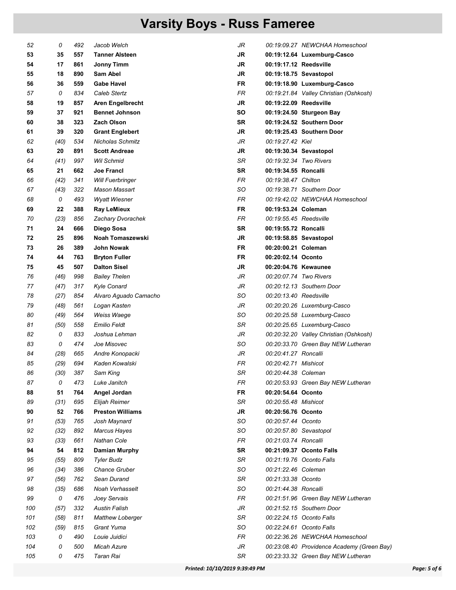| 52  | 0    | 492 | Jacob Welch             | JR        |                        | 00:19:09.27 NEWCHAA Homeschool             |
|-----|------|-----|-------------------------|-----------|------------------------|--------------------------------------------|
| 53  | 35   | 557 | <b>Tanner Alsteen</b>   | <b>JR</b> |                        | 00:19:12.64 Luxemburg-Casco                |
| 54  | 17   | 861 | <b>Jonny Timm</b>       | <b>JR</b> | 00:19:17.12 Reedsville |                                            |
| 55  | 18   | 890 | Sam Abel                | JR        | 00:19:18.75 Sevastopol |                                            |
| 56  | 36   | 559 | <b>Gabe Havel</b>       | FR        |                        | 00:19:18.90 Luxemburg-Casco                |
| 57  | 0    | 834 | Caleb Stertz            | FR        |                        | 00:19:21.84 Valley Christian (Oshkosh)     |
| 58  | 19   | 857 | Aren Engelbrecht        | <b>JR</b> | 00:19:22.09 Reedsville |                                            |
| 59  | 37   | 921 | <b>Bennet Johnson</b>   | <b>SO</b> |                        | 00:19:24.50 Sturgeon Bay                   |
| 60  | 38   | 323 | <b>Zach Olson</b>       | <b>SR</b> |                        | 00:19:24.52 Southern Door                  |
| 61  | 39   | 320 | <b>Grant Englebert</b>  | <b>JR</b> |                        | 00:19:25.43 Southern Door                  |
| 62  | (40) | 534 | <b>Nicholas Schmitz</b> | JR        | 00:19:27.42 Kiel       |                                            |
| 63  | 20   | 891 | <b>Scott Andreae</b>    | JR        | 00:19:30.34 Sevastopol |                                            |
| 64  | (41) | 997 | Wil Schmid              | SR        | 00:19:32.34 Two Rivers |                                            |
| 65  | 21   | 662 | <b>Joe Francl</b>       | <b>SR</b> | 00:19:34.55 Roncalli   |                                            |
| 66  | (42) | 341 | <b>Will Fuerbringer</b> | FR        | 00:19:38.47 Chilton    |                                            |
| 67  | (43) | 322 | Mason Massart           | SO        |                        | 00:19:38.71 Southern Door                  |
| 68  | 0    | 493 | <b>Wyatt Wiesner</b>    | FR        |                        | 00:19:42.02 NEWCHAA Homeschool             |
| 69  | 22   | 388 | <b>Ray LeMieux</b>      | FR        | 00:19:53.24 Coleman    |                                            |
| 70  | (23) | 856 | Zachary Dvorachek       | <b>FR</b> | 00:19:55.45 Reedsville |                                            |
| 71  | 24   | 666 | Diego Sosa              | <b>SR</b> | 00:19:55.72 Roncalli   |                                            |
| 72  | 25   | 896 | Noah Tomaszewski        | <b>JR</b> |                        | 00:19:58.85 Sevastopol                     |
| 73  | 26   | 389 | John Nowak              | <b>FR</b> | 00:20:00.21 Coleman    |                                            |
| 74  | 44   | 763 | <b>Bryton Fuller</b>    | <b>FR</b> | 00:20:02.14 Oconto     |                                            |
| 75  | 45   | 507 | <b>Dalton Sisel</b>     | JR        | 00:20:04.76 Kewaunee   |                                            |
| 76  | (46) | 998 | <b>Bailey Thelen</b>    | JR        | 00:20:07.74 Two Rivers |                                            |
| 77  | (47) | 317 | <b>Kyle Conard</b>      | JR        |                        | 00:20:12.13 Southern Door                  |
| 78  | (27) | 854 | Alvaro Aguado Camacho   | SO        | 00:20:13.40 Reedsville |                                            |
| 79  | (48) | 561 | Logan Kasten            | JR        |                        | 00:20:20.26 Luxemburg-Casco                |
| 80  | (49) | 564 | Weiss Waege             | SO        |                        | 00:20:25.58 Luxemburg-Casco                |
| 81  | (50) | 558 | <b>Emilio Feldt</b>     | SR        |                        | 00:20:25.65 Luxemburg-Casco                |
| 82  | 0    | 833 | Joshua Lehman           | JR        |                        | 00:20:32.20 Valley Christian (Oshkosh)     |
| 83  | 0    | 474 | Joe Misovec             | SO        |                        | 00:20:33.70 Green Bay NEW Lutheran         |
| 84  | (28) | 665 | Andre Konopacki         | JR        | 00:20:41.27 Roncalli   |                                            |
| 85  | (29) | 694 | Kaden Kowalski          | FR        | 00:20:42.71 Mishicot   |                                            |
| 86  | (30) | 387 | Sam King                | SR        | 00:20:44.38 Coleman    |                                            |
| 87  | 0    | 473 | Luke Janitch            | FR        |                        | 00:20:53.93 Green Bay NEW Lutheran         |
| 88  | 51   | 764 | Angel Jordan            | <b>FR</b> | 00:20:54.64 Oconto     |                                            |
| 89  | (31) | 695 | Elijah Reimer           | SR        | 00:20:55.48 Mishicot   |                                            |
| 90  | 52   | 766 | <b>Preston Williams</b> | <b>JR</b> | 00:20:56.76 Oconto     |                                            |
| 91  | (53) | 765 | Josh Maynard            | SO        | 00:20:57.44 Oconto     |                                            |
| 92  | (32) | 892 | <b>Marcus Hayes</b>     | SO        | 00:20:57.80 Sevastopol |                                            |
| 93  | (33) | 661 | <b>Nathan Cole</b>      | FR        | 00:21:03.74 Roncalli   |                                            |
| 94  | 54   | 812 | <b>Damian Murphy</b>    | <b>SR</b> |                        | 00:21:09.37 Oconto Falls                   |
| 95  | (55) | 809 | <b>Tyler Budz</b>       | SR        |                        | 00:21:19.76 Oconto Falls                   |
| 96  | (34) | 386 | <b>Chance Gruber</b>    | SO        | 00:21:22.46 Coleman    |                                            |
| 97  | (56) | 762 | Sean Durand             | SR        | 00:21:33.38 Oconto     |                                            |
| 98  | (35) | 686 | Noah Verhasselt         | SO        | 00:21:44.38 Roncalli   |                                            |
| 99  | 0    | 476 | Joey Servais            | FR        |                        | 00:21:51.96 Green Bay NEW Lutheran         |
| 100 | (57) | 332 | <b>Austin Falish</b>    | JR        |                        | 00:21:52.15 Southern Door                  |
| 101 | (58) | 811 | <b>Matthew Loberger</b> | SR        |                        | 00:22:24.15 Oconto Falls                   |
| 102 | (59) | 815 | Grant Yuma              | SO        |                        | 00:22:24.61 Oconto Falls                   |
| 103 | 0    | 490 | Louie Juidici           | FR        |                        | 00:22:36.26 NEWCHAA Homeschool             |
| 104 | 0    | 500 | Micah Azure             | JR        |                        | 00:23:08.40 Providence Academy (Green Bay) |
| 105 | 0    | 475 | Taran Rai               | SR        |                        | 00:23:33.32 Green Bay NEW Lutheran         |